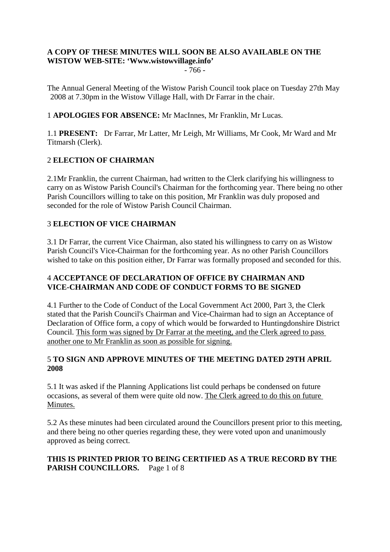# **A COPY OF THESE MINUTES WILL SOON BE ALSO AVAILABLE ON THE WISTOW WEB-SITE: 'Www.wistowvillage.info'**

- 766 -

The Annual General Meeting of the Wistow Parish Council took place on Tuesday 27th May 2008 at 7.30pm in the Wistow Village Hall, with Dr Farrar in the chair.

1 **APOLOGIES FOR ABSENCE:** Mr MacInnes, Mr Franklin, Mr Lucas.

1.1 **PRESENT:** Dr Farrar, Mr Latter, Mr Leigh, Mr Williams, Mr Cook, Mr Ward and Mr Titmarsh (Clerk).

# 2 **ELECTION OF CHAIRMAN**

2.1Mr Franklin, the current Chairman, had written to the Clerk clarifying his willingness to carry on as Wistow Parish Council's Chairman for the forthcoming year. There being no other Parish Councillors willing to take on this position, Mr Franklin was duly proposed and seconded for the role of Wistow Parish Council Chairman.

# 3 **ELECTION OF VICE CHAIRMAN**

3.1 Dr Farrar, the current Vice Chairman, also stated his willingness to carry on as Wistow Parish Council's Vice-Chairman for the forthcoming year. As no other Parish Councillors wished to take on this position either, Dr Farrar was formally proposed and seconded for this.

# 4 **ACCEPTANCE OF DECLARATION OF OFFICE BY CHAIRMAN AND VICE-CHAIRMAN AND CODE OF CONDUCT FORMS TO BE SIGNED**

4.1 Further to the Code of Conduct of the Local Government Act 2000, Part 3, the Clerk stated that the Parish Council's Chairman and Vice-Chairman had to sign an Acceptance of Declaration of Office form, a copy of which would be forwarded to Huntingdonshire District Council. This form was signed by Dr Farrar at the meeting, and the Clerk agreed to pass another one to Mr Franklin as soon as possible for signing.

# 5 **TO SIGN AND APPROVE MINUTES OF THE MEETING DATED 29TH APRIL 2008**

5.1 It was asked if the Planning Applications list could perhaps be condensed on future occasions, as several of them were quite old now. The Clerk agreed to do this on future Minutes.

5.2 As these minutes had been circulated around the Councillors present prior to this meeting, and there being no other queries regarding these, they were voted upon and unanimously approved as being correct.

# **THIS IS PRINTED PRIOR TO BEING CERTIFIED AS A TRUE RECORD BY THE PARISH COUNCILLORS.** Page 1 of 8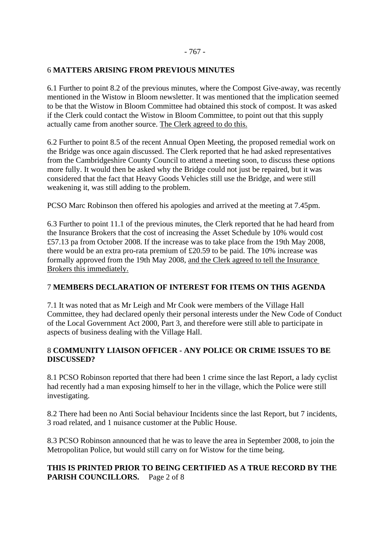### - 767 -

### 6 **MATTERS ARISING FROM PREVIOUS MINUTES**

6.1 Further to point 8.2 of the previous minutes, where the Compost Give-away, was recently mentioned in the Wistow in Bloom newsletter. It was mentioned that the implication seemed to be that the Wistow in Bloom Committee had obtained this stock of compost. It was asked if the Clerk could contact the Wistow in Bloom Committee, to point out that this supply actually came from another source. The Clerk agreed to do this.

6.2 Further to point 8.5 of the recent Annual Open Meeting, the proposed remedial work on the Bridge was once again discussed. The Clerk reported that he had asked representatives from the Cambridgeshire County Council to attend a meeting soon, to discuss these options more fully. It would then be asked why the Bridge could not just be repaired, but it was considered that the fact that Heavy Goods Vehicles still use the Bridge, and were still weakening it, was still adding to the problem.

PCSO Marc Robinson then offered his apologies and arrived at the meeting at 7.45pm.

6.3 Further to point 11.1 of the previous minutes, the Clerk reported that he had heard from the Insurance Brokers that the cost of increasing the Asset Schedule by 10% would cost £57.13 pa from October 2008. If the increase was to take place from the 19th May 2008, there would be an extra pro-rata premium of £20.59 to be paid. The 10% increase was formally approved from the 19th May 2008, and the Clerk agreed to tell the Insurance Brokers this immediately.

# 7 **MEMBERS DECLARATION OF INTEREST FOR ITEMS ON THIS AGENDA**

7.1 It was noted that as Mr Leigh and Mr Cook were members of the Village Hall Committee, they had declared openly their personal interests under the New Code of Conduct of the Local Government Act 2000, Part 3, and therefore were still able to participate in aspects of business dealing with the Village Hall.

# 8 **COMMUNITY LIAISON OFFICER - ANY POLICE OR CRIME ISSUES TO BE DISCUSSED?**

8.1 PCSO Robinson reported that there had been 1 crime since the last Report, a lady cyclist had recently had a man exposing himself to her in the village, which the Police were still investigating.

8.2 There had been no Anti Social behaviour Incidents since the last Report, but 7 incidents, 3 road related, and 1 nuisance customer at the Public House.

8.3 PCSO Robinson announced that he was to leave the area in September 2008, to join the Metropolitan Police, but would still carry on for Wistow for the time being.

# **THIS IS PRINTED PRIOR TO BEING CERTIFIED AS A TRUE RECORD BY THE PARISH COUNCILLORS.** Page 2 of 8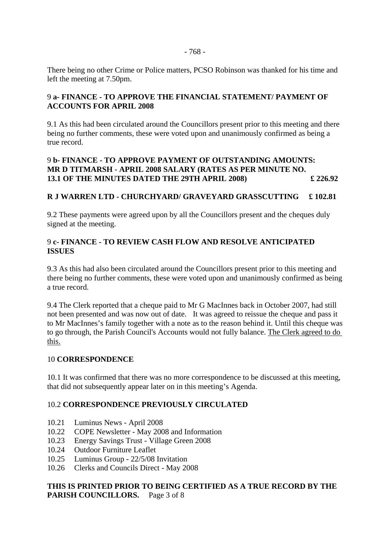There being no other Crime or Police matters, PCSO Robinson was thanked for his time and left the meeting at 7.50pm.

### 9 **a- FINANCE - TO APPROVE THE FINANCIAL STATEMENT/ PAYMENT OF ACCOUNTS FOR APRIL 2008**

9.1 As this had been circulated around the Councillors present prior to this meeting and there being no further comments, these were voted upon and unanimously confirmed as being a true record.

### 9 **b- FINANCE - TO APPROVE PAYMENT OF OUTSTANDING AMOUNTS: MR D TITMARSH - APRIL 2008 SALARY (RATES AS PER MINUTE NO. 13.1 OF THE MINUTES DATED THE 29TH APRIL 2008) £ 226.92**

### **R J WARREN LTD - CHURCHYARD/ GRAVEYARD GRASSCUTTING £ 102.81**

9.2 These payments were agreed upon by all the Councillors present and the cheques duly signed at the meeting.

### 9 **c- FINANCE - TO REVIEW CASH FLOW AND RESOLVE ANTICIPATED ISSUES**

9.3 As this had also been circulated around the Councillors present prior to this meeting and there being no further comments, these were voted upon and unanimously confirmed as being a true record.

9.4 The Clerk reported that a cheque paid to Mr G MacInnes back in October 2007, had still not been presented and was now out of date. It was agreed to reissue the cheque and pass it to Mr MacInnes's family together with a note as to the reason behind it. Until this cheque was to go through, the Parish Council's Accounts would not fully balance. The Clerk agreed to do this.

#### 10 **CORRESPONDENCE**

10.1 It was confirmed that there was no more correspondence to be discussed at this meeting, that did not subsequently appear later on in this meeting's Agenda.

#### 10.2 **CORRESPONDENCE PREVIOUSLY CIRCULATED**

- 10.21 Luminus News April 2008
- 10.22 COPE Newsletter May 2008 and Information
- 10.23 Energy Savings Trust Village Green 2008
- 10.24 Outdoor Furniture Leaflet
- 10.25 Luminus Group 22/5/08 Invitation
- 10.26 Clerks and Councils Direct May 2008

# **THIS IS PRINTED PRIOR TO BEING CERTIFIED AS A TRUE RECORD BY THE PARISH COUNCILLORS.** Page 3 of 8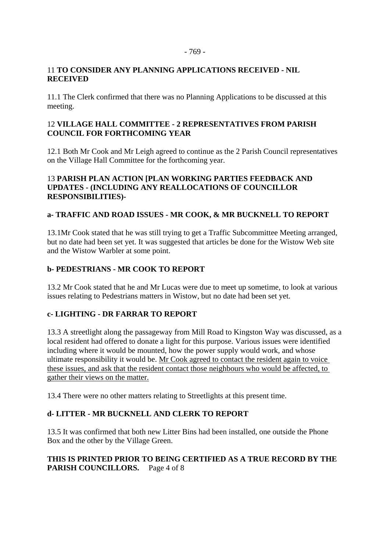#### - 769 -

### 11 **TO CONSIDER ANY PLANNING APPLICATIONS RECEIVED - NIL RECEIVED**

11.1 The Clerk confirmed that there was no Planning Applications to be discussed at this meeting.

# 12 **VILLAGE HALL COMMITTEE - 2 REPRESENTATIVES FROM PARISH COUNCIL FOR FORTHCOMING YEAR**

12.1 Both Mr Cook and Mr Leigh agreed to continue as the 2 Parish Council representatives on the Village Hall Committee for the forthcoming year.

### 13 **PARISH PLAN ACTION [PLAN WORKING PARTIES FEEDBACK AND UPDATES - (INCLUDING ANY REALLOCATIONS OF COUNCILLOR RESPONSIBILITIES)-**

# **a- TRAFFIC AND ROAD ISSUES - MR COOK, & MR BUCKNELL TO REPORT**

13.1Mr Cook stated that he was still trying to get a Traffic Subcommittee Meeting arranged, but no date had been set yet. It was suggested that articles be done for the Wistow Web site and the Wistow Warbler at some point.

### **b- PEDESTRIANS - MR COOK TO REPORT**

13.2 Mr Cook stated that he and Mr Lucas were due to meet up sometime, to look at various issues relating to Pedestrians matters in Wistow, but no date had been set yet.

# **c- LIGHTING - DR FARRAR TO REPORT**

13.3 A streetlight along the passageway from Mill Road to Kingston Way was discussed, as a local resident had offered to donate a light for this purpose. Various issues were identified including where it would be mounted, how the power supply would work, and whose ultimate responsibility it would be. Mr Cook agreed to contact the resident again to voice these issues, and ask that the resident contact those neighbours who would be affected, to gather their views on the matter.

13.4 There were no other matters relating to Streetlights at this present time.

# **d- LITTER - MR BUCKNELL AND CLERK TO REPORT**

13.5 It was confirmed that both new Litter Bins had been installed, one outside the Phone Box and the other by the Village Green.

### **THIS IS PRINTED PRIOR TO BEING CERTIFIED AS A TRUE RECORD BY THE PARISH COUNCILLORS.** Page 4 of 8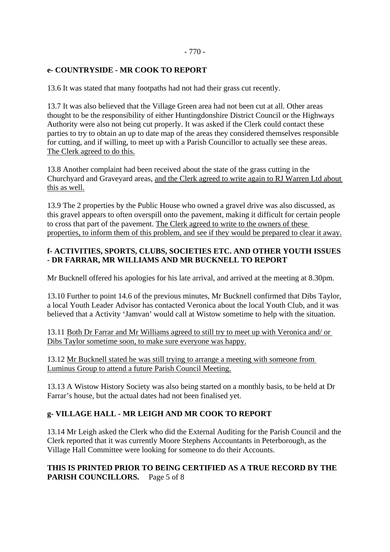## **e- COUNTRYSIDE - MR COOK TO REPORT**

13.6 It was stated that many footpaths had not had their grass cut recently.

13.7 It was also believed that the Village Green area had not been cut at all. Other areas thought to be the responsibility of either Huntingdonshire District Council or the Highways Authority were also not being cut properly. It was asked if the Clerk could contact these parties to try to obtain an up to date map of the areas they considered themselves responsible for cutting, and if willing, to meet up with a Parish Councillor to actually see these areas. The Clerk agreed to do this.

13.8 Another complaint had been received about the state of the grass cutting in the Churchyard and Graveyard areas, and the Clerk agreed to write again to RJ Warren Ltd about this as well.

13.9 The 2 properties by the Public House who owned a gravel drive was also discussed, as this gravel appears to often overspill onto the pavement, making it difficult for certain people to cross that part of the pavement. The Clerk agreed to write to the owners of these properties, to inform them of this problem, and see if they would be prepared to clear it away.

# **f- ACTIVITIES, SPORTS, CLUBS, SOCIETIES ETC. AND OTHER YOUTH ISSUES - DR FARRAR, MR WILLIAMS AND MR BUCKNELL TO REPORT**

Mr Bucknell offered his apologies for his late arrival, and arrived at the meeting at 8.30pm.

13.10 Further to point 14.6 of the previous minutes, Mr Bucknell confirmed that Dibs Taylor, a local Youth Leader Advisor has contacted Veronica about the local Youth Club, and it was believed that a Activity 'Jamvan' would call at Wistow sometime to help with the situation.

13.11 Both Dr Farrar and Mr Williams agreed to still try to meet up with Veronica and/ or Dibs Taylor sometime soon, to make sure everyone was happy.

13.12 Mr Bucknell stated he was still trying to arrange a meeting with someone from Luminus Group to attend a future Parish Council Meeting.

13.13 A Wistow History Society was also being started on a monthly basis, to be held at Dr Farrar's house, but the actual dates had not been finalised yet.

# **g- VILLAGE HALL - MR LEIGH AND MR COOK TO REPORT**

13.14 Mr Leigh asked the Clerk who did the External Auditing for the Parish Council and the Clerk reported that it was currently Moore Stephens Accountants in Peterborough, as the Village Hall Committee were looking for someone to do their Accounts.

# **THIS IS PRINTED PRIOR TO BEING CERTIFIED AS A TRUE RECORD BY THE PARISH COUNCILLORS.** Page 5 of 8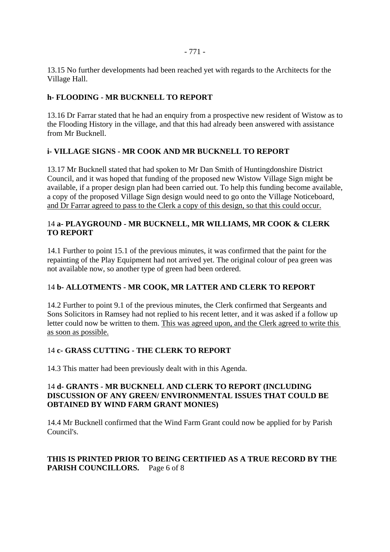13.15 No further developments had been reached yet with regards to the Architects for the Village Hall.

# **h- FLOODING - MR BUCKNELL TO REPORT**

13.16 Dr Farrar stated that he had an enquiry from a prospective new resident of Wistow as to the Flooding History in the village, and that this had already been answered with assistance from Mr Bucknell.

# **i- VILLAGE SIGNS - MR COOK AND MR BUCKNELL TO REPORT**

13.17 Mr Bucknell stated that had spoken to Mr Dan Smith of Huntingdonshire District Council, and it was hoped that funding of the proposed new Wistow Village Sign might be available, if a proper design plan had been carried out. To help this funding become available, a copy of the proposed Village Sign design would need to go onto the Village Noticeboard, and Dr Farrar agreed to pass to the Clerk a copy of this design, so that this could occur.

# 14 **a- PLAYGROUND - MR BUCKNELL, MR WILLIAMS, MR COOK & CLERK TO REPORT**

14.1 Further to point 15.1 of the previous minutes, it was confirmed that the paint for the repainting of the Play Equipment had not arrived yet. The original colour of pea green was not available now, so another type of green had been ordered.

# 14 **b- ALLOTMENTS - MR COOK, MR LATTER AND CLERK TO REPORT**

14.2 Further to point 9.1 of the previous minutes, the Clerk confirmed that Sergeants and Sons Solicitors in Ramsey had not replied to his recent letter, and it was asked if a follow up letter could now be written to them. This was agreed upon, and the Clerk agreed to write this as soon as possible.

# 14 **c- GRASS CUTTING - THE CLERK TO REPORT**

14.3 This matter had been previously dealt with in this Agenda.

# 14 **d- GRANTS - MR BUCKNELL AND CLERK TO REPORT (INCLUDING DISCUSSION OF ANY GREEN/ ENVIRONMENTAL ISSUES THAT COULD BE OBTAINED BY WIND FARM GRANT MONIES)**

14.4 Mr Bucknell confirmed that the Wind Farm Grant could now be applied for by Parish Council's.

# **THIS IS PRINTED PRIOR TO BEING CERTIFIED AS A TRUE RECORD BY THE PARISH COUNCILLORS.** Page 6 of 8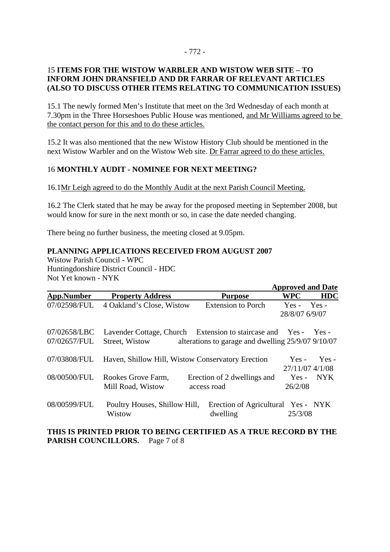# 15 **ITEMS FOR THE WISTOW WARBLER AND WISTOW WEB SITE – TO INFORM JOHN DRANSFIELD AND DR FARRAR OF RELEVANT ARTICLES (ALSO TO DISCUSS OTHER ITEMS RELATING TO COMMUNICATION ISSUES)**

15.1 The newly formed Men's Institute that meet on the 3rd Wednesday of each month at 7.30pm in the Three Horseshoes Public House was mentioned, and Mr Williams agreed to be the contact person for this and to do these articles.

15.2 It was also mentioned that the new Wistow History Club should be mentioned in the next Wistow Warbler and on the Wistow Web site. Dr Farrar agreed to do these articles.

### 16 **MONTHLY AUDIT - NOMINEE FOR NEXT MEETING?**

### 16.1Mr Leigh agreed to do the Monthly Audit at the next Parish Council Meeting.

16.2 The Clerk stated that he may be away for the proposed meeting in September 2008, but would know for sure in the next month or so, in case the date needed changing.

There being no further business, the meeting closed at 9.05pm.

### **PLANNING APPLICATIONS RECEIVED FROM AUGUST 2007**

Wistow Parish Council - WPC Huntingdonshire District Council - HDC Not Yet known - NYK

|                              |                                         |                                                                                                                         | <b>Approved and Date</b>        |               |
|------------------------------|-----------------------------------------|-------------------------------------------------------------------------------------------------------------------------|---------------------------------|---------------|
| App.Number                   | <b>Property Address</b>                 | <b>Purpose</b>                                                                                                          | <b>WPC</b>                      | <b>HDC</b>    |
| 07/02598/FUL                 | 4 Oakland's Close, Wistow               | <b>Extension to Porch</b>                                                                                               | $Yes - Yes -$<br>28/8/07 6/9/07 |               |
| 07/02658/LBC<br>07/02657/FUL | Street, Wistow                          | Lavender Cottage, Church Extension to staircase and Yes - Yes -<br>alterations to garage and dwelling $25/9/07$ 9/10/07 |                                 |               |
| 07/03808/FUL                 |                                         | Haven, Shillow Hill, Wistow Conservatory Erection                                                                       | 27/11/07 4/1/08                 | $Yes - Yes -$ |
| 08/00500/FUL                 | Rookes Grove Farm,<br>Mill Road, Wistow | Erection of 2 dwellings and<br>access road                                                                              | 26/2/08                         | Yes - NYK     |
| 08/00599/FUL                 | Poultry Houses, Shillow Hill,<br>Wistow | Erection of Agricultural Yes - NYK<br>dwelling                                                                          | 25/3/08                         |               |

### **THIS IS PRINTED PRIOR TO BEING CERTIFIED AS A TRUE RECORD BY THE PARISH COUNCILLORS.** Page 7 of 8